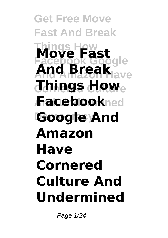**Get Free Move Fast And Break Things How Move Fast Facebook Google And Amazon Have And Break**  $\sigma$ **Things How**e **And Undermined Facebook Google And Amazon Have Cornered Culture And Undermined**

Page 1/24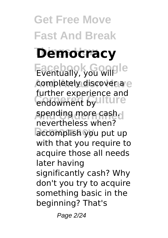**Get Free Move Fast And Break Democracy Facebook Google** completely discover a e endowment by **Iture** spending more cash. accomplish you put up further experience and nevertheless when? with that you require to acquire those all needs later having significantly cash? Why don't you try to acquire something basic in the beginning? That's

Page 2/24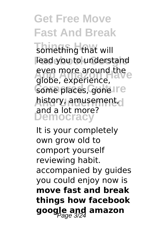something that will lead you to understand even more around the **Come places, gone Ire And Undermined** history, amusement, **Democracy** globe, experience, and a lot more?

It is your completely own grow old to comport yourself reviewing habit. accompanied by guides you could enjoy now is **move fast and break things how facebook google and amazon**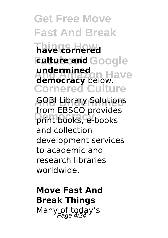**Get Free Move Fast And Break Things How have cornered Fulture and Google undermined**<br>**democracy** below. **Cornered Culture GOBI Library Solutions Democracy** print books, e-books **undermined** from EBSCO provides and collection development services to academic and research libraries worldwide.

**Move Fast And Break Things** Many of today's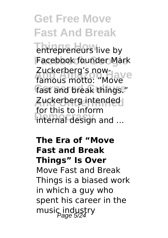**Thirepreneurs** live by Facebook founder Mark zuckerberg's now-<br>famous motto: "Move fast and break things." Zuckerberg intended internal design and ... Zuckerberg's nowfor this to inform

#### **The Era of "Move Fast and Break Things" Is Over**

Move Fast and Break Things is a biased work in which a guy who spent his career in the music industry<br>Page 5/24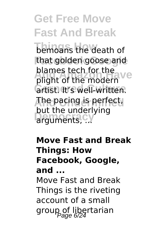bemoans the death of that golden goose and plight of the modern<sup>ve</sup> **Grtist. It's well-written. And Undermined** The pacing is perfect, **Det the direction** blames tech for the but the underlying

**Move Fast and Break Things: How Facebook, Google, and ...** Move Fast and Break Things is the riveting account of a small group of libertarian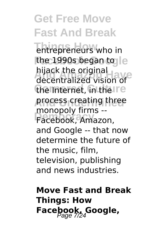**Thirepreneurs** who in the 1990s began to le **And America**<br>
decentralized vision of the Internet, in the Ire process creating three **Democracy** Facebook, Amazon, hijack the original monopoly firms - and Google -- that now determine the future of the music, film, television, publishing and news industries.

### **Move Fast and Break Things: How** Facebook, Google,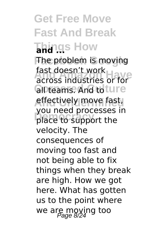**Get Free Move Fast And Break Things How and ... The problem is moving fast doesn't work**<br>across industries or for **GIPteams. And to ture** effectively move fast, place to support the across industries or for you need processes in velocity. The consequences of moving too fast and not being able to fix things when they break are high. How we got here. What has gotten us to the point where we are moving too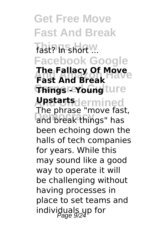**Get Free Move Fast And Break Fast? In short ... Facebook Google The Fallacy Of Move**<br>Fast And Break **Things - Young ture And Undermined Upstarts** and break things" has **Fast And Break** The phrase "move fast, been echoing down the halls of tech companies for years. While this may sound like a good way to operate it will be challenging without having processes in place to set teams and individuals up for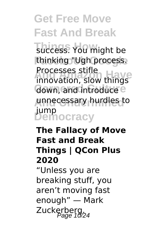**Thicess.** You might be thinking "Ugh process. **And Amazon Have** innovation, slow things down, and introduce<sup>e</sup> **And Undermined** unnecessary hurdles to **Democracy** jump Processes stifle

#### **The Fallacy of Move Fast and Break Things | QCon Plus 2020**

"Unless you are breaking stuff, you aren't moving fast enough" — Mark Zuckerberg.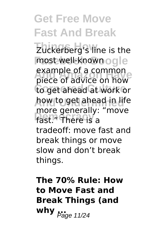**Zuckerberg's line is the** most well-known ogle example of a common<br>piece of advice on how to get ahead at work or **And Undermined** how to get ahead in life more generally. example of a common more generally: "move tradeoff: move fast and break things or move slow and don't break things.

**The 70% Rule: How to Move Fast and Break Things (and why**  $P_{\text{age 11/24}}$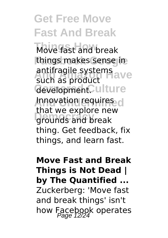Move fast and break things makes sense in **And Amazon Have** such as product Gevelopment. ulture **Innovation requires d Democracy** grounds and break antifragile systems that we explore new thing. Get feedback, fix things, and learn fast.

#### **Move Fast and Break Things is Not Dead | by The Quantified ...** Zuckerberg: 'Move fast and break things' isn't how Facebook operates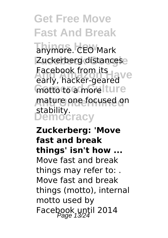anymore. CEO Mark Zuckerberg distancese **Facebook Irom its**<br>early, hacker-geared motto to a more Iture **And Undermined** mature one focused on **Democracy** stability. Facebook from its

**Zuckerberg: 'Move fast and break things' isn't how ...** Move fast and break things may refer to: . Move fast and break things (motto), internal motto used by Facebook until 2014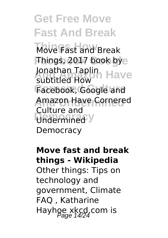**Things How** Move Fast and Break **Things, 2017 book bye** Jonathan Taplin<br>Subtitled How Facebook, Google and Amazon Have Cornered Undermined<sup>y</sup> subtitled How Culture and **Democracy** 

#### **Move fast and break things - Wikipedia**

Other things: Tips on technology and government, Climate FAQ , Katharine Hayhoe xkcd.com is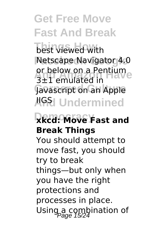**best viewed with Netscape Navigator 4.0** or below on a Pentium<br>3+1 emulated in Javascript on an Apple **AGSI Undermined** 3±1 emulated in

### **Democracy xkcd: Move Fast and Break Things**

You should attempt to move fast, you should try to break things—but only when you have the right protections and processes in place. Using a combination of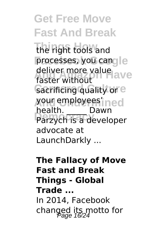**Get Free Move Fast And Break** the right tools and processes, you cangle deliver more value<br>factor without **Sacrificing quality or e And Undermined** your employees' **Democracy** Parzych is a developer faster without health. \_\_\_\_\_ Dawn advocate at LaunchDarkly ...

**The Fallacy of Move Fast and Break Things - Global Trade ...** In 2014, Facebook changed its motto for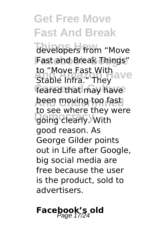developers from "Move **Fast and Break Things"** to "Move Fast With"<br>Stable Infra "They ave feared that may have **been moving too fast** going clearly. With Stable Infra." They to see where they were good reason. As George Gilder points out in Life after Google, big social media are free because the user is the product, sold to advertisers.

# **Facebook's old**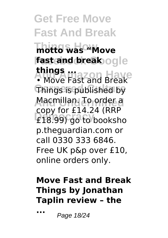### **Get Free Move Fast And Break Things How motto was "Move fast and break** ogle **And Amazon Have Things is published by things ...**

**Macmillan. To order a Democracy** £18.99) go to booksho copy for £14.24 (RRP p.theguardian.com or call 0330 333 6846. Free UK p&p over £10, online orders only.

#### **Move Fast and Break Things by Jonathan Taplin review – the**

**...** Page 18/24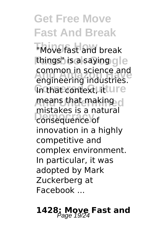**Things How** "Move fast and break things" is a saying gle **And Amazon Have** engineering industries. **In that context, litture means that making d Consequence** of common in science and mistakes is a natural innovation in a highly competitive and complex environment. In particular, it was adopted by Mark Zuckerberg at Facebook ...

# **1428: Moye Fast and**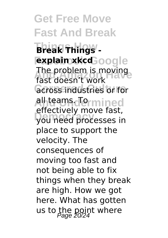**Get Free Move Fast And Break Things How Break Things explain xkcd**oogle The problem is moving<br>fast doesn't work *<u>across</u>* industries or for **Alhteams.dermined Democracy** you need processes in fast doesn't work effectively move fast, place to support the velocity. The consequences of moving too fast and not being able to fix things when they break are high. How we got here. What has gotten us to the point where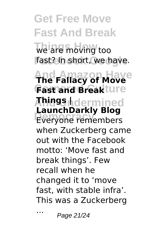**Get Free Move Fast And Break Things How** we are moving too fast? In short, we have. **And Amazon Have The Fallacy of Move Fast and Break**ture **And Undermined Things | Everyone remembers LaunchDarkly Blog** when Zuckerberg came out with the Facebook motto: 'Move fast and break things'. Few recall when he changed it to 'move fast, with stable infra'. This was a Zuckerberg

... Page 21/24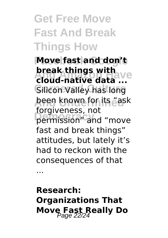### **Get Free Move Fast And Break Things How**

**Move fast and don't** *Break things with ave*<br>**cloud-native data** ... **Silicon Valley has long , been known for its "ask Democracy** permission" and "move **break things with** forgiveness, not fast and break things" attitudes, but lately it's had to reckon with the consequences of that

...

### **Research: Organizations That Move Fast Really Do**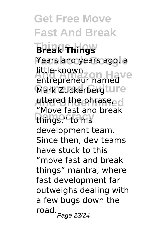**Get Free Move Fast And Break Things How Break Things** Years and years ago, a **And Amazon Have** entrepreneur named Mark Zuckerbergture **uttered the phrase, dl** things," to his little-known "Move fast and break development team. Since then, dev teams have stuck to this "move fast and break things" mantra, where fast development far outweighs dealing with a few bugs down the road. Page 23/24